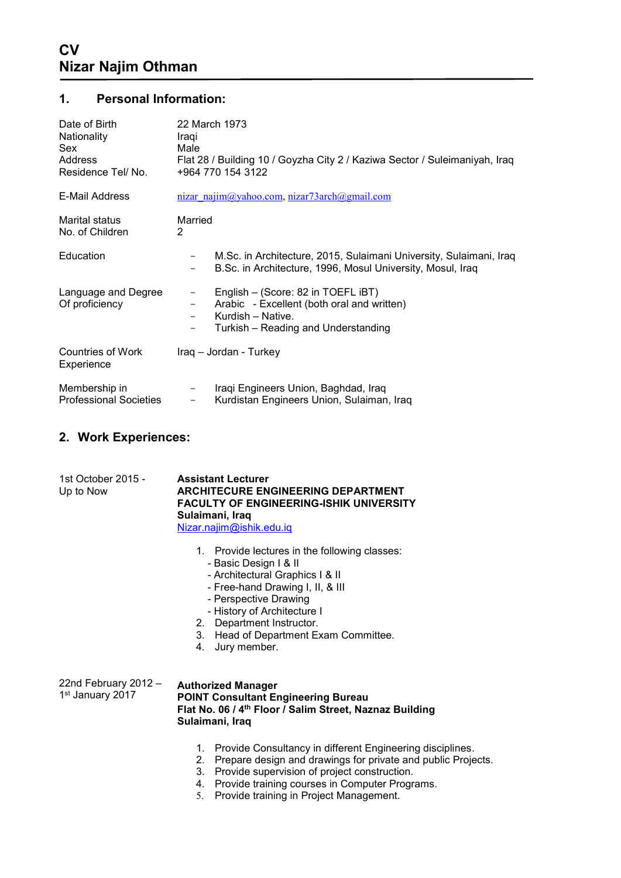## **1. Personal Information:**

| Date of Birth<br>Nationality<br><b>Sex</b><br>Address<br>Residence Tel/No. | 22 March 1973<br>Iragi<br>Male<br>Flat 28 / Building 10 / Goyzha City 2 / Kaziwa Sector / Suleimaniyah, Iraq<br>+964 770 154 3122                                                                                       |
|----------------------------------------------------------------------------|-------------------------------------------------------------------------------------------------------------------------------------------------------------------------------------------------------------------------|
| E-Mail Address                                                             | nizar najim@yahoo.com, nizar73arch@gmail.com                                                                                                                                                                            |
| Marital status<br>No. of Children                                          | Married<br>2                                                                                                                                                                                                            |
| Education                                                                  | M.Sc. in Architecture, 2015, Sulaimani University, Sulaimani, Iraq<br>B.Sc. in Architecture, 1996, Mosul University, Mosul, Iraq<br>$\qquad \qquad -$                                                                   |
| Language and Degree<br>Of proficiency                                      | English - (Score: 82 in TOEFL iBT)<br>$\qquad \qquad -$<br>Arabic - Excellent (both oral and written)<br>$\overline{\phantom{m}}$<br>Kurdish - Native.<br>$\qquad \qquad -$<br>Turkish – Reading and Understanding<br>— |
| Countries of Work<br>Experience                                            | Iraq - Jordan - Turkey                                                                                                                                                                                                  |
| Membership in<br><b>Professional Societies</b>                             | Iraqi Engineers Union, Baghdad, Iraq<br>-<br>Kurdistan Engineers Union, Sulaiman, Iraq<br>$\overline{\phantom{m}}$                                                                                                      |

## **2. Work Experiences:**

| 1st October 2015 - | <b>Assistant Lecturer</b>                      |
|--------------------|------------------------------------------------|
| Up to Now          | <b>ARCHITECURE ENGINEERING DEPARTMENT</b>      |
|                    | <b>FACULTY OF ENGINEERING-ISHIK UNIVERSITY</b> |
|                    | Sulaimani, Iraq                                |
|                    | Nizar.najim@ishik.edu.iq                       |
|                    |                                                |

- 1. Provide lectures in the following classes:
	- Basic Design I & II
	- Architectural Graphics I & II
	- Free-hand Drawing I, II, & III
	- Perspective Drawing
	- History of Architecture I
- 2. Department Instructor.
- 3. Head of Department Exam Committee.
- 4. Jury member.

22nd February 2012 – 1 st January 2017 **Authorized Manager POINT Consultant Engineering Bureau Flat No. 06 / 4th Floor / Salim Street, Naznaz Building Sulaimani, Iraq**

- 1. Provide Consultancy in different Engineering disciplines.
- 2. Prepare design and drawings for private and public Projects.
- 3. Provide supervision of project construction.
- 4. Provide training courses in Computer Programs.
- 5. Provide training in Project Management.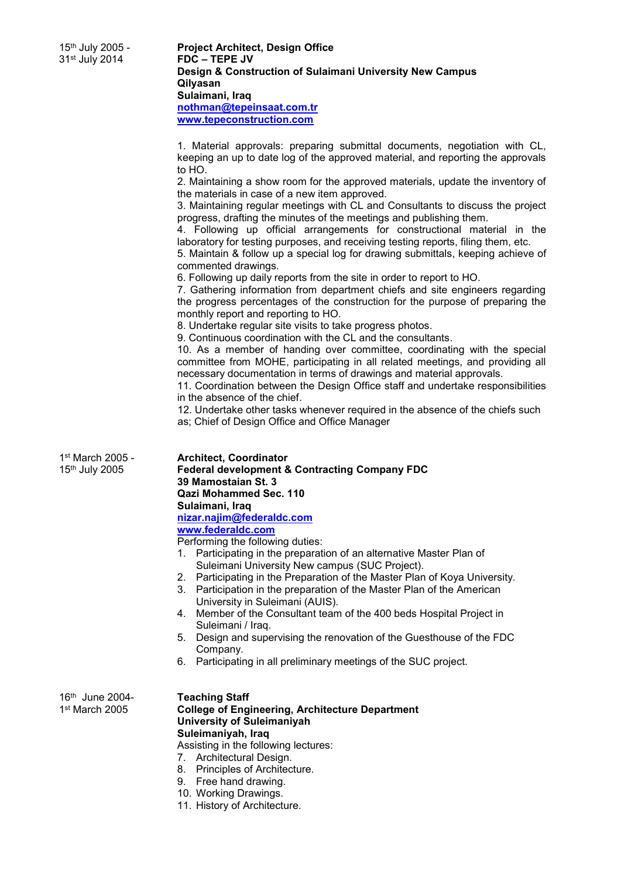15th July 2005 - **Project Architect, Design Office Design & Construction of Sulaimani University New Campus Qilyasan Sulaimani, Iraq [nothman@tepeinsaat.com.tr](mailto:nothman@tepeinsaat.com.tr) [www.tepeconstruction.com](http://www.tepeconstruction.com/)**

> 1. Material approvals: preparing submittal documents, negotiation with CL, keeping an up to date log of the approved material, and reporting the approvals to HO.

> 2. Maintaining a show room for the approved materials, update the inventory of the materials in case of a new item approved.

> 3. Maintaining regular meetings with CL and Consultants to discuss the project progress, drafting the minutes of the meetings and publishing them.

> 4. Following up official arrangements for constructional material in the laboratory for testing purposes, and receiving testing reports, filing them, etc.

> 5. Maintain & follow up a special log for drawing submittals, keeping achieve of commented drawings.

6. Following up daily reports from the site in order to report to HO.

7. Gathering information from department chiefs and site engineers regarding the progress percentages of the construction for the purpose of preparing the monthly report and reporting to HO.

8. Undertake regular site visits to take progress photos.

9. Continuous coordination with the CL and the consultants.

10. As a member of handing over committee, coordinating with the special committee from MOHE, participating in all related meetings, and providing all necessary documentation in terms of drawings and material approvals.

11. Coordination between the Design Office staff and undertake responsibilities in the absence of the chief.

12. Undertake other tasks whenever required in the absence of the chiefs such as; Chief of Design Office and Office Manager

| 1st March 2005 -<br>15th July 2005                        | <b>Architect, Coordinator</b><br><b>Federal development &amp; Contracting Company FDC</b><br>39 Mamostaian St. 3<br><b>Qazi Mohammed Sec. 110</b><br>Sulaimani, Iraq<br>nizar.najim@federaldc.com<br>www.federaldc.com<br>Performing the following duties:<br>Participating in the preparation of an alternative Master Plan of<br>1.<br>Suleimani University New campus (SUC Project).<br>2. Participating in the Preparation of the Master Plan of Koya University.<br>Participation in the preparation of the Master Plan of the American<br>$3_{-}$<br>University in Suleimani (AUIS). |
|-----------------------------------------------------------|--------------------------------------------------------------------------------------------------------------------------------------------------------------------------------------------------------------------------------------------------------------------------------------------------------------------------------------------------------------------------------------------------------------------------------------------------------------------------------------------------------------------------------------------------------------------------------------------|
|                                                           | Member of the Consultant team of the 400 beds Hospital Project in<br>$4_{-}$<br>Suleimani / Iraq.<br>Design and supervising the renovation of the Guesthouse of the FDC<br>5.<br>Company.<br>6. Participating in all preliminary meetings of the SUC project.                                                                                                                                                                                                                                                                                                                              |
| 16 <sup>th</sup> June 2004-<br>1 <sup>st</sup> March 2005 | <b>Teaching Staff</b><br><b>College of Engineering, Architecture Department</b><br><b>University of Suleimaniyah</b><br>Suleimaniyah, Iraq<br>Assisting in the following lectures:<br>7. Architectural Design.<br>8. Principles of Architecture.<br>9. Free hand drawing.<br>10. Working Drawings.<br>11. History of Architecture.                                                                                                                                                                                                                                                         |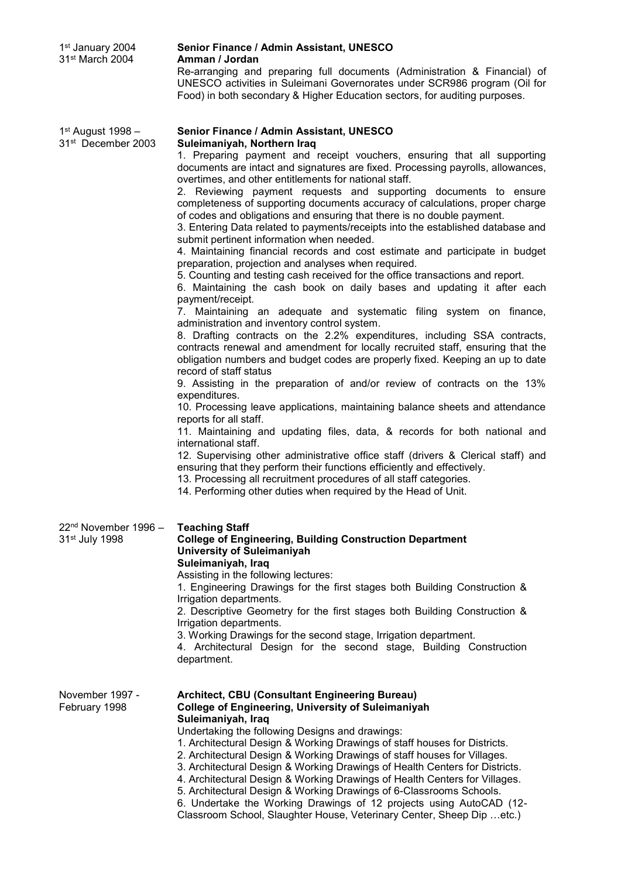| 1 <sup>st</sup> January 2004<br>31 <sup>st</sup> March 2004    | Senior Finance / Admin Assistant, UNESCO<br>Amman / Jordan<br>Re-arranging and preparing full documents (Administration & Financial) of<br>UNESCO activities in Suleimani Governorates under SCR986 program (Oil for<br>Food) in both secondary & Higher Education sectors, for auditing purposes.                                                                                                                                                                                                                                                                                                                                                                                                                                                                                                                                                                                                                                                                                                                                                                                                                                                                                                                                                                                                                                                                                                                                                                                                                                                                                                                                                                                                                                                                                                                                                                                                                                                                                                    |
|----------------------------------------------------------------|-------------------------------------------------------------------------------------------------------------------------------------------------------------------------------------------------------------------------------------------------------------------------------------------------------------------------------------------------------------------------------------------------------------------------------------------------------------------------------------------------------------------------------------------------------------------------------------------------------------------------------------------------------------------------------------------------------------------------------------------------------------------------------------------------------------------------------------------------------------------------------------------------------------------------------------------------------------------------------------------------------------------------------------------------------------------------------------------------------------------------------------------------------------------------------------------------------------------------------------------------------------------------------------------------------------------------------------------------------------------------------------------------------------------------------------------------------------------------------------------------------------------------------------------------------------------------------------------------------------------------------------------------------------------------------------------------------------------------------------------------------------------------------------------------------------------------------------------------------------------------------------------------------------------------------------------------------------------------------------------------------|
| 1st August 1998 -<br>31 <sup>st</sup> December 2003            | Senior Finance / Admin Assistant, UNESCO<br>Suleimaniyah, Northern Iraq<br>1. Preparing payment and receipt vouchers, ensuring that all supporting<br>documents are intact and signatures are fixed. Processing payrolls, allowances,<br>overtimes, and other entitlements for national staff.<br>2. Reviewing payment requests and supporting documents to ensure<br>completeness of supporting documents accuracy of calculations, proper charge<br>of codes and obligations and ensuring that there is no double payment.<br>3. Entering Data related to payments/receipts into the established database and<br>submit pertinent information when needed.<br>4. Maintaining financial records and cost estimate and participate in budget<br>preparation, projection and analyses when required.<br>5. Counting and testing cash received for the office transactions and report.<br>6. Maintaining the cash book on daily bases and updating it after each<br>payment/receipt.<br>7. Maintaining an adequate and systematic filing system on finance,<br>administration and inventory control system.<br>8. Drafting contracts on the 2.2% expenditures, including SSA contracts,<br>contracts renewal and amendment for locally recruited staff, ensuring that the<br>obligation numbers and budget codes are properly fixed. Keeping an up to date<br>record of staff status<br>9. Assisting in the preparation of and/or review of contracts on the 13%<br>expenditures.<br>10. Processing leave applications, maintaining balance sheets and attendance<br>reports for all staff.<br>11. Maintaining and updating files, data, & records for both national and<br>international staff.<br>12. Supervising other administrative office staff (drivers & Clerical staff) and<br>ensuring that they perform their functions efficiently and effectively.<br>13. Processing all recruitment procedures of all staff categories.<br>14. Performing other duties when required by the Head of Unit. |
| 22 <sup>nd</sup> November 1996 -<br>31 <sup>st</sup> July 1998 | <b>Teaching Staff</b><br><b>College of Engineering, Building Construction Department</b><br><b>University of Suleimaniyah</b><br>Suleimaniyah, Iraq<br>Assisting in the following lectures:<br>1. Engineering Drawings for the first stages both Building Construction &<br>Irrigation departments.<br>2. Descriptive Geometry for the first stages both Building Construction &<br>Irrigation departments.<br>3. Working Drawings for the second stage, Irrigation department.<br>4. Architectural Design for the second stage, Building Construction<br>department.                                                                                                                                                                                                                                                                                                                                                                                                                                                                                                                                                                                                                                                                                                                                                                                                                                                                                                                                                                                                                                                                                                                                                                                                                                                                                                                                                                                                                                 |
| November 1997 -<br>February 1998                               | Architect, CBU (Consultant Engineering Bureau)<br><b>College of Engineering, University of Suleimaniyah</b><br>Suleimaniyah, Iraq<br>Undertaking the following Designs and drawings:<br>1. Architectural Design & Working Drawings of staff houses for Districts.<br>2. Architectural Design & Working Drawings of staff houses for Villages.<br>3. Architectural Design & Working Drawings of Health Centers for Districts.<br>4. Architectural Design & Working Drawings of Health Centers for Villages.<br>5. Architectural Design & Working Drawings of 6-Classrooms Schools.<br>6. Undertake the Working Drawings of 12 projects using AutoCAD (12-<br>Classroom School, Slaughter House, Veterinary Center, Sheep Dip  etc.)                                                                                                                                                                                                                                                                                                                                                                                                                                                                                                                                                                                                                                                                                                                                                                                                                                                                                                                                                                                                                                                                                                                                                                                                                                                                    |